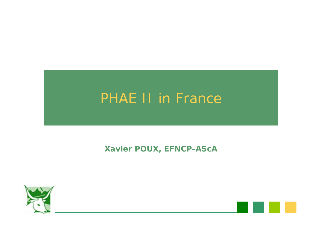### PHAE II in France

#### **Xavier POUX, EFNCP-AScA**

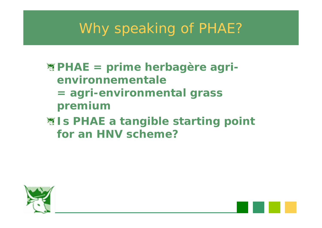### Why speaking of PHAE?

### **PHAE = prime herbagère agrienvironnementale= agri-environmental grass**

- **premium**
- **W** Is PHAE a tangible starting point **for an HNV scheme?**

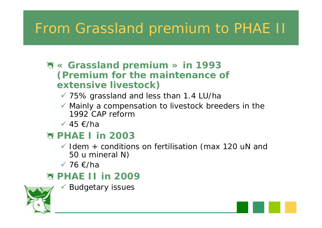# From Grassland premium to PHAE II

#### **« Grassland premium » in 1993 (Premium for the maintenance of extensive livestock)**

- $\checkmark$  75% grassland and less than 1.4 LU/ha
- $\checkmark$  Mainly a compensation to livestock breeders in the 1992 CAP reform
- $\checkmark$  45 €/ha

### **PHAE I in 2003**

- $\checkmark$  Idem + conditions on fertilisation (max 120 uN and 50 u mineral N)
- $√ 76$  €/ha

#### **图 PHAE II in 2009**

 $\checkmark$  Budgetary issues

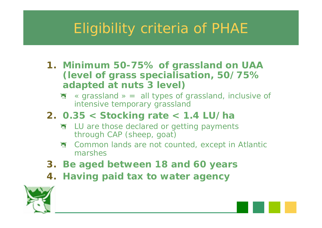# Eligibility criteria of PHAE

- **1. Minimum 50-75% of grassland on UAA (level of grass specialisation, 50/75% adapted at nuts 3 level)**
	- $\sum_{i=1}^{n}$ « grassland » <sup>=</sup> all types of grassland, inclusive of intensive temporary grassland
- **2. 0.35 < Stocking rate < 1.4 LU/ha**
	- **WE LU are those declared or getting payments** through CAP (sheep, goat)
	- Common lands are not counted, except in Atlantic marshes
- **3. Be aged between 18 and 60 years**
- **4. Having paid tax to water agency**

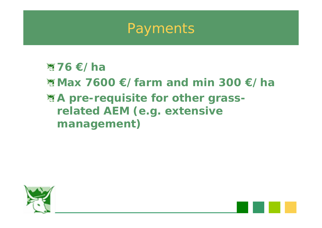

#### **76 €/ha**

- **Max 7600 €/farm and min 300 €/ha**
- **A** pre-requisite for other grass**related AEM (e.g. extensive management)**

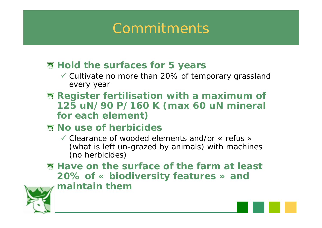### Commitments

#### **图 Hold the surfaces for 5 years**

- $\checkmark$  Cultivate no more than 20% of temporary grassland every year
- **Register fertilisation with a maximum of 125 uN/90 P/160 K (max 60 uN mineral for each element)**

#### **No use of herbicides**

 $\checkmark$  Clearance of wooded elements and/or « refus » (what is left un-grazed by animals) with machines (no herbicides)

**Have on the surface of the farm at least 20% of « biodiversity features » and maintain them**

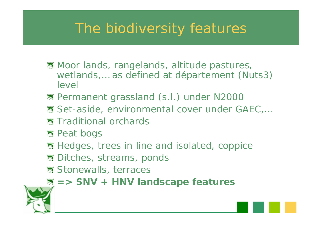### The biodiversity features

- **※ Moor lands, rangelands, altitude pastures,** wetlands,… as defined at département (Nuts3) level
- 图 Permanent grassland (s.l.) under N2000
- 图 Set-aside, environmental cover under GAEC,...
- **★ Traditional orchards**
- **※ Peat bogs**
- **图 Hedges, trees in line and isolated, coppice**
- **※ Ditches, streams, ponds**
- **※ Stonewalls, terraces**
- **=> SNV + HNV landscape features**

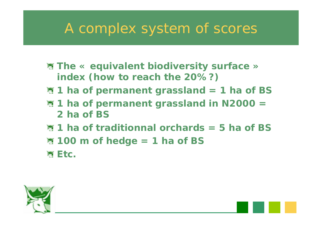### A complex system of scores

- **The « equivalent biodiversity surface » index (how to reach the 20%?)**
- **1 ha of permanent grassland = 1 ha of BS**
- **<sup>3</sup> 1 ha of permanent grassland in N2000 = 2 ha of BS**
- **1 ha of traditionnal orchards = 5 ha of BS**
- **100 m of hedge = 1 ha of BS**
- **WEtc.**

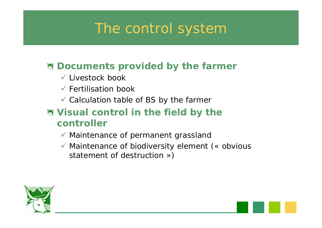### The control system

#### **图 Documents provided by the farmer**

- $\checkmark$  Livestock book
- $\checkmark$  Fertilisation book
- $\checkmark$  Calculation table of BS by the farmer

#### **Visual control in the field by the controller**

- $\checkmark$  Maintenance of permanent grassland
- $\checkmark$  Maintenance of biodiversity element (« obvious statement of destruction »)

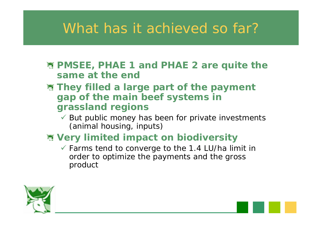### What has it achieved so far?

- **PMSEE, PHAE 1 and PHAE 2 are quite the same at the end**
- **They filled a large part of the payment gap of the main beef systems in grassland regions**
	- $\checkmark$  But public money has been for private investments (animal housing, inputs)
- **Very limited impact on biodiversity**
	- $\checkmark$  Farms tend to converge to the 1.4 LU/ha limit in order to optimize the payments and the gross product